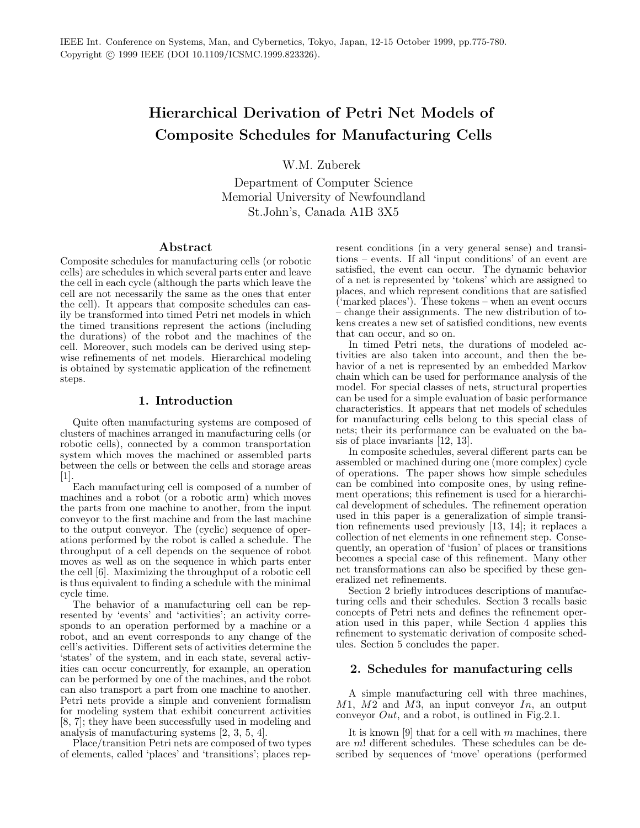# Hierarchical Derivation of Petri Net Models of Composite Schedules for Manufacturing Cells

W.M. Zuberek

Department of Computer Science Memorial University of Newfoundland St.John's, Canada A1B 3X5

## Abstract

Composite schedules for manufacturing cells (or robotic cells) are schedules in which several parts enter and leave the cell in each cycle (although the parts which leave the cell are not necessarily the same as the ones that enter the cell). It appears that composite schedules can easily be transformed into timed Petri net models in which the timed transitions represent the actions (including the durations) of the robot and the machines of the cell. Moreover, such models can be derived using stepwise refinements of net models. Hierarchical modeling is obtained by systematic application of the refinement steps.

# 1. Introduction

Quite often manufacturing systems are composed of clusters of machines arranged in manufacturing cells (or robotic cells), connected by a common transportation system which moves the machined or assembled parts between the cells or between the cells and storage areas  $[1]$ 

Each manufacturing cell is composed of a number of machines and a robot (or a robotic arm) which moves the parts from one machine to another, from the input conveyor to the first machine and from the last machine to the output conveyor. The (cyclic) sequence of operations performed by the robot is called a schedule. The throughput of a cell depends on the sequence of robot moves as well as on the sequence in which parts enter the cell [6]. Maximizing the throughput of a robotic cell is thus equivalent to finding a schedule with the minimal cycle time.

The behavior of a manufacturing cell can be represented by 'events' and 'activities'; an activity corresponds to an operation performed by a machine or a robot, and an event corresponds to any change of the cell's activities. Different sets of activities determine the 'states' of the system, and in each state, several activities can occur concurrently, for example, an operation can be performed by one of the machines, and the robot can also transport a part from one machine to another. Petri nets provide a simple and convenient formalism for modeling system that exhibit concurrent activities [8, 7]; they have been successfully used in modeling and analysis of manufacturing systems [2, 3, 5, 4].

Place/transition Petri nets are composed of two types of elements, called 'places' and 'transitions'; places represent conditions (in a very general sense) and transitions – events. If all 'input conditions' of an event are satisfied, the event can occur. The dynamic behavior of a net is represented by 'tokens' which are assigned to places, and which represent conditions that are satisfied ('marked places'). These tokens – when an event occurs – change their assignments. The new distribution of tokens creates a new set of satisfied conditions, new events that can occur, and so on.

In timed Petri nets, the durations of modeled activities are also taken into account, and then the behavior of a net is represented by an embedded Markov chain which can be used for performance analysis of the model. For special classes of nets, structural properties can be used for a simple evaluation of basic performance characteristics. It appears that net models of schedules for manufacturing cells belong to this special class of nets; their its performance can be evaluated on the basis of place invariants [12, 13].

In composite schedules, several different parts can be assembled or machined during one (more complex) cycle of operations. The paper shows how simple schedules can be combined into composite ones, by using refinement operations; this refinement is used for a hierarchical development of schedules. The refinement operation used in this paper is a generalization of simple transition refinements used previously [13, 14]; it replaces a collection of net elements in one refinement step. Consequently, an operation of 'fusion' of places or transitions becomes a special case of this refinement. Many other net transformations can also be specified by these generalized net refinements.

Section 2 briefly introduces descriptions of manufacturing cells and their schedules. Section 3 recalls basic concepts of Petri nets and defines the refinement operation used in this paper, while Section 4 applies this refinement to systematic derivation of composite schedules. Section 5 concludes the paper.

# 2. Schedules for manufacturing cells

A simple manufacturing cell with three machines,  $M1$ ,  $M2$  and  $M3$ , an input conveyor  $In$ , an output conveyor  $Out$ , and a robot, is outlined in Fig. 2.1.

It is known [9] that for a cell with  $m$  machines, there are m! different schedules. These schedules can be described by sequences of 'move' operations (performed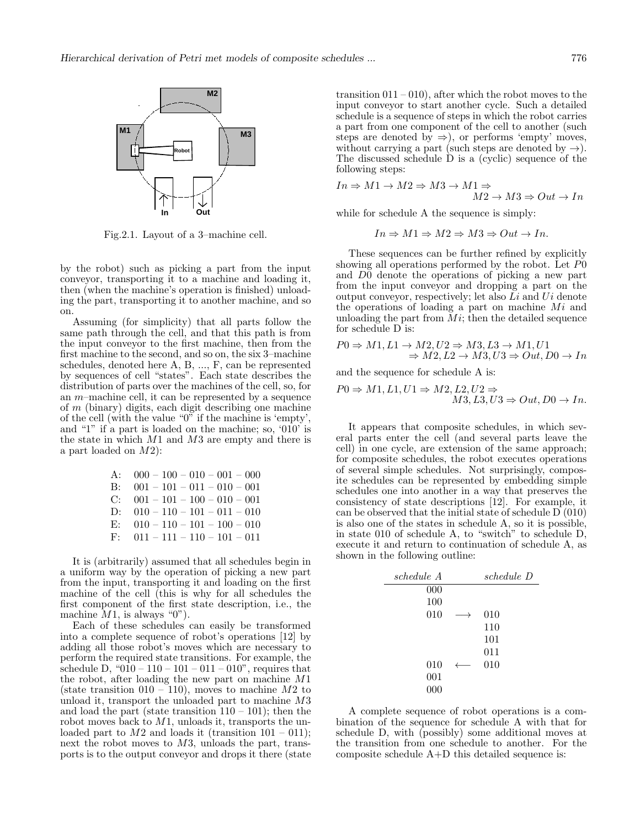

Fig.2.1. Layout of a 3–machine cell.

by the robot) such as picking a part from the input conveyor, transporting it to a machine and loading it, then (when the machine's operation is finished) unloading the part, transporting it to another machine, and so on.

Assuming (for simplicity) that all parts follow the same path through the cell, and that this path is from the input conveyor to the first machine, then from the first machine to the second, and so on, the six 3–machine schedules, denoted here A, B, ..., F, can be represented by sequences of cell "states". Each state describes the distribution of parts over the machines of the cell, so, for an  $m$ –machine cell, it can be represented by a sequence of m (binary) digits, each digit describing one machine of the cell (with the value " $0$ " if the machine is 'empty', and "1" if a part is loaded on the machine; so,  $010'$  is the state in which  $M1$  and  $M3$  are empty and there is a part loaded on M2):

| A: $000 - 100 - 010 - 001 - 000$ |
|----------------------------------|
| B: $001 - 101 - 011 - 010 - 001$ |
| C: $001 - 101 - 100 - 010 - 001$ |
| D: $010 - 110 - 101 - 011 - 010$ |
| E: $010 - 110 - 101 - 100 - 010$ |
| $F: 011 - 111 - 110 - 101 - 011$ |

It is (arbitrarily) assumed that all schedules begin in a uniform way by the operation of picking a new part from the input, transporting it and loading on the first machine of the cell (this is why for all schedules the first component of the first state description, i.e., the machine  $M1$ , is always "0").

Each of these schedules can easily be transformed into a complete sequence of robot's operations [12] by adding all those robot's moves which are necessary to perform the required state transitions. For example, the schedule D,  $0.010 - 110 - 101 - 011 - 010$ , requires that the robot, after loading the new part on machine M1 (state transition  $010 - 110$ ), moves to machine M2 to unload it, transport the unloaded part to machine M3 and load the part (state transition  $110 - 101$ ); then the robot moves back to M1, unloads it, transports the unloaded part to  $M2$  and loads it (transition  $101 - 011$ ); next the robot moves to M3, unloads the part, transports is to the output conveyor and drops it there (state

transition  $(0.11 - 0.01)$ , after which the robot moves to the input conveyor to start another cycle. Such a detailed schedule is a sequence of steps in which the robot carries a part from one component of the cell to another (such steps are denoted by  $\Rightarrow$ ), or performs 'empty' moves, without carrying a part (such steps are denoted by  $\rightarrow$ ). The discussed schedule D is a (cyclic) sequence of the following steps:

$$
In \Rightarrow M1 \to M2 \Rightarrow M3 \to M1 \Rightarrow
$$
  

$$
M2 \to M3 \Rightarrow Out \to In
$$

while for schedule A the sequence is simply:

$$
In \Rightarrow M1 \Rightarrow M2 \Rightarrow M3 \Rightarrow Out \rightarrow In.
$$

These sequences can be further refined by explicitly showing all operations performed by the robot. Let P0 and D0 denote the operations of picking a new part from the input conveyor and dropping a part on the output conveyor, respectively; let also  $Li$  and  $Ui$  denote the operations of loading a part on machine  $Mi$  and unloading the part from  $Mi$ ; then the detailed sequence for schedule D is:

$$
P0 \Rightarrow M1, L1 \rightarrow M2, U2 \Rightarrow M3, L3 \rightarrow M1, U1
$$
  

$$
\Rightarrow M2, L2 \rightarrow M3, U3 \Rightarrow Out, D0 \rightarrow In
$$

and the sequence for schedule A is:

$$
P0 \Rightarrow M1, L1, U1 \Rightarrow M2, L2, U2 \Rightarrow M3, L3, U3 \Rightarrow Out, D0 \rightarrow In.
$$

It appears that composite schedules, in which several parts enter the cell (and several parts leave the cell) in one cycle, are extension of the same approach; for composite schedules, the robot executes operations of several simple schedules. Not surprisingly, composite schedules can be represented by embedding simple schedules one into another in a way that preserves the consistency of state descriptions [12]. For example, it can be observed that the initial state of schedule D (010) is also one of the states in schedule A, so it is possible, in state 010 of schedule A, to "switch" to schedule D, execute it and return to continuation of schedule A, as shown in the following outline:

| schedule A | schedule D |
|------------|------------|
| 000        |            |
| 100        |            |
| 010        | 010        |
|            | 110        |
|            | 101        |
|            | 011        |
| 010        | 010        |
| 001        |            |
| 000        |            |

A complete sequence of robot operations is a combination of the sequence for schedule A with that for schedule D, with (possibly) some additional moves at the transition from one schedule to another. For the composite schedule A+D this detailed sequence is: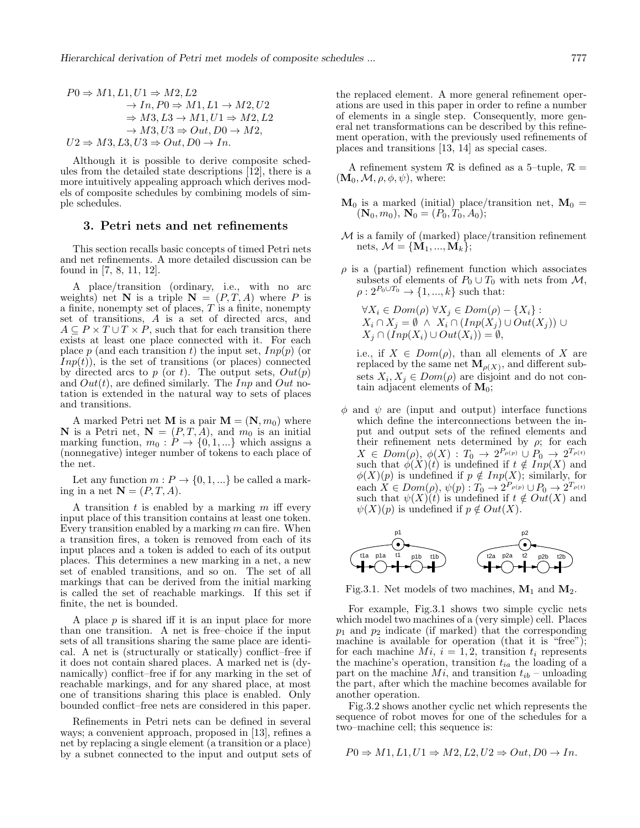$$
P0 \Rightarrow M1, L1, U1 \Rightarrow M2, L2
$$
  
\n
$$
\rightarrow In, P0 \Rightarrow M1, L1 \rightarrow M2, U2
$$
  
\n
$$
\Rightarrow M3, L3 \rightarrow M1, U1 \Rightarrow M2, L2
$$
  
\n
$$
\rightarrow M3, U3 \Rightarrow Out, D0 \rightarrow M2,
$$
  
\n
$$
U2 \Rightarrow M3, L3, U3 \Rightarrow Out, D0 \rightarrow In.
$$

Although it is possible to derive composite schedules from the detailed state descriptions [12], there is a more intuitively appealing approach which derives models of composite schedules by combining models of simple schedules.

#### 3. Petri nets and net refinements

This section recalls basic concepts of timed Petri nets and net refinements. A more detailed discussion can be found in [7, 8, 11, 12].

A place/transition (ordinary, i.e., with no arc<br>weights) net N is a triple  $N = (P, T, A)$  where P is a finite, nonempty set of places,  $T$  is a finite, nonempty set of transitions, A is a set of directed arcs, and  $A \subseteq P \times T \cup T \times P$ , such that for each transition there exists at least one place connected with it. For each place p (and each transition t) the input set,  $Inp(p)$  (or  $Inp(t)$ , is the set of transitions (or places) connected by directed arcs to p (or t). The output sets,  $Out(p)$ and  $Out(t)$ , are defined similarly. The Inp and Out notation is extended in the natural way to sets of places and transitions.

A marked Petri net **M** is a pair  $\mathbf{M} = (\mathbf{N}, m_0)$  where **N** is a Petri net,  $N = (P, T, A)$ , and  $m_0$  is an initial marking function,  $m_0 : P \to \{0, 1, ...\}$  which assigns a (nonnegative) integer number of tokens to each place of the net.

Let any function  $m : P \to \{0, 1, ...\}$  be called a marking in a net  $N = (P, T, A)$ .

A transition  $t$  is enabled by a marking  $m$  iff every input place of this transition contains at least one token. Every transition enabled by a marking  $m$  can fire. When a transition fires, a token is removed from each of its input places and a token is added to each of its output places. This determines a new marking in a net, a new set of enabled transitions, and so on. The set of all markings that can be derived from the initial marking is called the set of reachable markings. If this set if finite, the net is bounded.

A place  $p$  is shared iff it is an input place for more than one transition. A net is free–choice if the input sets of all transitions sharing the same place are identical. A net is (structurally or statically) conflict–free if it does not contain shared places. A marked net is (dynamically) conflict–free if for any marking in the set of reachable markings, and for any shared place, at most one of transitions sharing this place is enabled. Only bounded conflict–free nets are considered in this paper.

Refinements in Petri nets can be defined in several ways; a convenient approach, proposed in [13], refines a net by replacing a single element (a transition or a place) by a subnet connected to the input and output sets of the replaced element. A more general refinement operations are used in this paper in order to refine a number of elements in a single step. Consequently, more general net transformations can be described by this refinement operation, with the previously used refinements of places and transitions [13, 14] as special cases.

A refinement system  $\mathcal R$  is defined as a 5-tuple,  $\mathcal R$  =  $(M_0, M, \rho, \phi, \psi)$ , where:

- $M_0$  is a marked (initial) place/transition net,  $M_0 =$  $(N_0, m_0)$ ,  $N_0 = (P_0, T_0, A_0)$ ;
- $M$  is a family of (marked) place/transition refinement nets,  $M = {\bf{M}_1, ..., M_k};$
- $\rho$  is a (partial) refinement function which associates subsets of elements of  $P_0 \cup T_0$  with nets from  $\mathcal{M}$ ,  $\rho: 2^{P_0 \cup T_0} \to \{1, ..., k\}$  such that:

 $\forall X_i \in Dom(\rho) \ \forall X_j \in Dom(\rho) - \{X_i\}$ :  $X_i \cap X_j = \emptyset \;\wedge\; X_i \cap (Imp(X_j) \cup Out(X_j)) \cup$  $X_i \cap (Inp(X_i) \cup Out(X_i)) = \emptyset,$ 

i.e., if  $X \in Dom(\rho)$ , than all elements of X are replaced by the same net  $\mathbf{M}_{\rho(X)}$ , and different subsets  $X_i, X_j \in Dom(\rho)$  are disjoint and do not contain adjacent elements of  $M_0$ ;

 $\phi$  and  $\psi$  are (input and output) interface functions which define the interconnections between the input and output sets of the refined elements and their refinement nets determined by  $\rho$ ; for each  $X \in Dom(\rho), \phi(X) : T_0 \to 2^{P_{\rho(p)}} \cup P_0 \to 2^{T_{\rho(t)}}$ such that  $\phi(X)(t)$  is undefined if  $t \notin \text{Inp}(X)$  and  $\phi(X)(p)$  is undefined if  $p \notin Imp(X)$ ; similarly, for each  $X \in Dom(\rho), \psi(p): T_0 \to 2^{P_{\rho(p)}} \cup P_0 \to 2^{T_{\rho(t)}}$ such that  $\psi(X)(t)$  is undefined if  $t \notin Out(X)$  and  $\psi(X)(p)$  is undefined if  $p \notin Out(X)$ .



Fig.3.1. Net models of two machines,  $M_1$  and  $M_2$ .

For example, Fig.3.1 shows two simple cyclic nets which model two machines of a (very simple) cell. Places  $p_1$  and  $p_2$  indicate (if marked) that the corresponding machine is available for operation (that it is "free"); for each machine  $Mi$ ,  $i = 1, 2$ , transition  $t_i$  represents the machine's operation, transition  $t_{ia}$  the loading of a part on the machine  $Mi$ , and transition  $t_{ib}$  – unloading the part, after which the machine becomes available for another operation.

Fig.3.2 shows another cyclic net which represents the sequence of robot moves for one of the schedules for a two–machine cell; this sequence is:

$$
P0 \Rightarrow M1, L1, U1 \Rightarrow M2, L2, U2 \Rightarrow Out, D0 \to In.
$$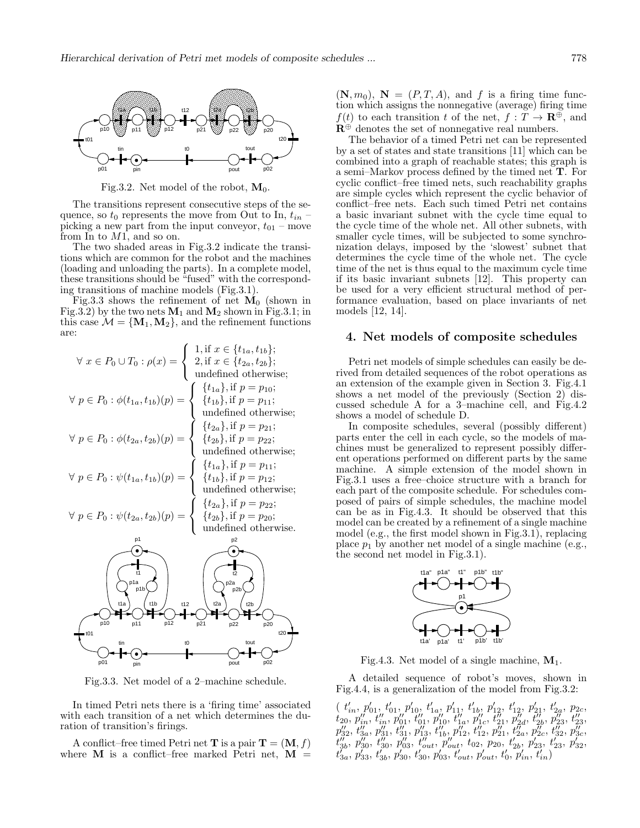

Fig.3.2. Net model of the robot,  $M_0$ .

The transitions represent consecutive steps of the sequence, so  $t_0$  represents the move from Out to In,  $t_{in}$  – picking a new part from the input conveyor,  $t_{01}$  – move from In to  $M1$ , and so on.

The two shaded areas in Fig.3.2 indicate the transitions which are common for the robot and the machines (loading and unloading the parts). In a complete model, these transitions should be "fused" with the corresponding transitions of machine models (Fig.3.1).

Fig.3.3 shows the refinement of net  $\mathbf{M}_0$  (shown in Fig.3.2) by the two nets  $M_1$  and  $M_2$  shown in Fig.3.1; in this case  $\mathcal{M} = {\bf{M}_1, M_2}$ , and the refinement functions are:



Fig.3.3. Net model of a 2–machine schedule.

In timed Petri nets there is a 'firing time' associated with each transition of a net which determines the duration of transition's firings.

A conflict–free timed Petri net **T** is a pair  $T = (M, f)$ where **M** is a conflict–free marked Petri net,  $\mathbf{M} =$ 

 $(N, m_0)$ ,  $N = (P, T, A)$ , and f is a firing time function which assigns the nonnegative (average) firing time  $f(t)$  to each transition t of the net,  $f: T \to \mathbf{R}^{\oplus}$ , and  $\mathbf{R}^{\oplus}$  denotes the set of nonnegative real numbers.

The behavior of a timed Petri net can be represented by a set of states and state transitions [11] which can be combined into a graph of reachable states; this graph is a semi–Markov process defined by the timed net T. For cyclic conflict–free timed nets, such reachability graphs are simple cycles which represent the cyclic behavior of conflict–free nets. Each such timed Petri net contains a basic invariant subnet with the cycle time equal to the cycle time of the whole net. All other subnets, with smaller cycle times, will be subjected to some synchronization delays, imposed by the 'slowest' subnet that determines the cycle time of the whole net. The cycle time of the net is thus equal to the maximum cycle time if its basic invariant subnets [12]. This property can be used for a very efficient structural method of performance evaluation, based on place invariants of net models [12, 14].

## 4. Net models of composite schedules

Petri net models of simple schedules can easily be derived from detailed sequences of the robot operations as an extension of the example given in Section 3. Fig.4.1 shows a net model of the previously (Section 2) discussed schedule A for a 3–machine cell, and Fig.4.2 shows a model of schedule D.

In composite schedules, several (possibly different) parts enter the cell in each cycle, so the models of machines must be generalized to represent possibly different operations performed on different parts by the same machine. A simple extension of the model shown in Fig.3.1 uses a free–choice structure with a branch for each part of the composite schedule. For schedules composed of pairs of simple schedules, the machine model can be as in Fig.4.3. It should be observed that this model can be created by a refinement of a single machine model (e.g., the first model shown in Fig.3.1), replacing place  $p_1$  by another net model of a single machine (e.g., the second net model in Fig.3.1).



Fig.4.3. Net model of a single machine,  $M_1$ .

A detailed sequence of robot's moves, shown in Fig.4.4, is a generalization of the model from Fig.3.2:

 $\left( t'_{in}, p'_{01}, t'_{01}, p'_{10}, t'_{1a}, p'_{11}, t'_{1b}, p'_{12}, t'_{12}, p'_{21}, t'_{2a}, p_{2c}, \right.$  $t_{20},\, p''_{in},\, t''_{in},\, p''_{01},\, t''_{01},\, p''_{10},\, t''_{1a},\, p''_{1c},\, t''_{21},\, p''_{2d},\, t''_{2b},\, p''_{23},\, t''_{23},$  $p_{32}'',\ t_{3a}'',\ p_{31}'',\ t_{31}'',\ p_{13}'',\ t_{1b}'',\ p_{12}'',\ t_{12}'',\ p_{21}'',\ t_{2a}'',\ p_{2c}'',\ t_{32}'',\ p_{3c}'',$  $t''_{3b}$ ,  $p''_{30}$ ,  $t''_{30}$ ,  $p''_{03}$ ,  $t''_{out}$ ,  $p''_{out}$ ,  $t_{02}$ ,  $p_{20}$ ,  $t'_{2b}$ ,  $p'_{23}$ ,  $t'_{23}$ ,  $p'_{32}$ ,  $t'_{3a}, p'_{33}, t'_{3b}, p'_{30}, t'_{30}, p'_{03}, t'_{out}, p'_{out}, t'_{0}, p'_{in}, t'_{in}$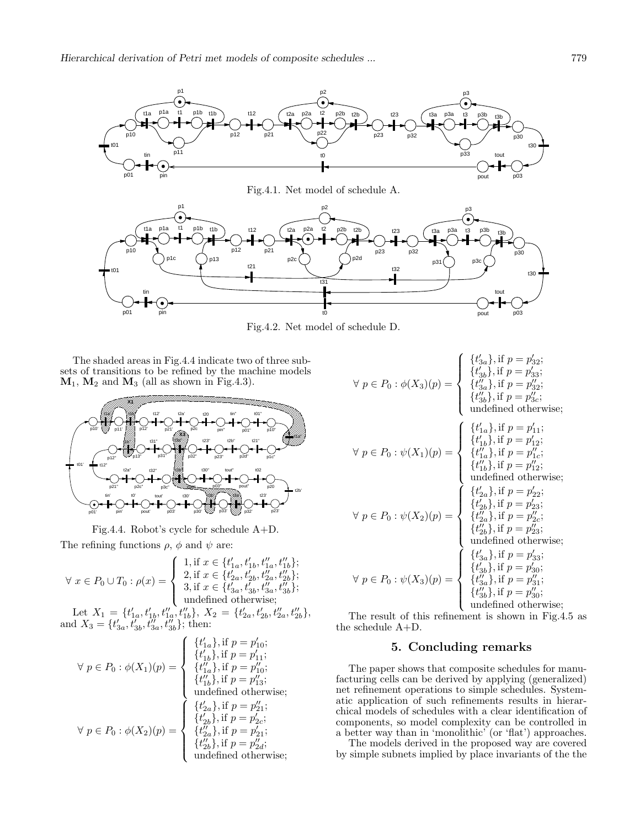

Fig.4.2. Net model of schedule D.

The shaded areas in Fig.4.4 indicate two of three subsets of transitions to be refined by the machine models  $M_1$ ,  $M_2$  and  $M_3$  (all as shown in Fig.4.3).



Fig.4.4. Robot's cycle for schedule A+D.

The refining functions  $\rho$ ,  $\phi$  and  $\psi$  are:

$$
\forall x \in P_0 \cup T_0 : \rho(x) = \begin{cases} 1, \text{if } x \in \{t'_{1a}, t'_{1b}, t''_{1a}, t''_{1b}\}; \\ 2, \text{if } x \in \{t'_{2a}, t'_{2b}, t''_{2a}, t''_{2b}\}; \\ 3, \text{if } x \in \{t'_{3a}, t'_{3b}, t''_{3a}, t''_{3b}\}; \\ \text{undefined otherwise}; \end{cases}
$$

Let  $X_1 = \{t'_{1a}, t'_{1b}, t''_{1a}, t''_{1b}\}, X_2 = \{t'_{2a}, t'_{2b}, t''_{2a}, t''_{2b}\},$ and  $X_3 = \{t'_{3a}, t''_{3b}, t'''_{3a}, t'''_{3b}\}$ ; then:

$$
\forall p \in P_0 : \phi(X_1)(p) = \left\{ \begin{array}{l} \{t'_{1a}\}, \text{if } p = p'_{10}; \\ \{t'_{1b}\}, \text{if } p = p'_{11}; \\ \{t''_{1a}\}, \text{if } p = p''_{10}; \\ \{t''_{1b}\}, \text{if } p = p''_{13}; \\ \{t''_{1b}\}, \text{if } p = p''_{13}; \\ \text{undefined otherwise}; \\ \{t'_{2a}\}, \text{if } p = p''_{21}; \\ \{t'_{2b}\}, \text{if } p = p'_{2c}; \\ \{t''_{2a}\}, \text{if } p = p'_{21}; \\ \{t''_{2b}\}, \text{if } p = p'_{21}; \\ \{t''_{2b}\}, \text{if } p = p''_{2d}; \\ \text{undefined otherwise}; \end{array} \right.
$$

$$
\forall p \in P_0 : \phi(X_3)(p) = \begin{cases} \{t'_{3a}\}, \text{if } p = p'_{32}; \\ \{t'_{3b}\}, \text{if } p = p'_{33}; \\ \{t'_{3a}\}, \text{if } p = p''_{32}; \\ \{t''_{3b}\}, \text{if } p = p''_{32}; \\ \{t''_{3b}\}, \text{if } p = p''_{3c}; \\ \text{undefined otherwise}; \end{cases}
$$

$$
\forall p \in P_0 : \psi(X_1)(p) = \begin{cases} \{t'_{1a}\}, \text{if } p = p'_{11}; \\ \{t'_{1b}\}, \text{if } p = p'_{12}; \\ \{t''_{1b}\}, \text{if } p = p''_{12}; \\ \{t''_{1b}\}, \text{if } p = p''_{12}; \\ \text{undefined otherwise}; \\ \{t'_{2b}\}, \text{if } p = p'_{22}; \\ \{t'_{2b}\}, \text{if } p = p'_{23}; \\ \{t''_{2b}\}, \text{if } p = p''_{23}; \\ \{t''_{2b}\}, \text{if } p = p''_{23}; \\ \text{undefined otherwise}; \\ \{t''_{3b}\}, \text{if } p = p''_{33}; \\ \text{undefined otherwise}; \end{cases}
$$

$$
\forall p \in P_0 : \psi(X_3)(p) = \begin{cases} \{t'_{3a}\}, \text{if } p = p''_{33}; \\ \{t'_{3a}\}, \text{if } p = p''_{33}; \\ \{t'_{3a}\}, \text{if } p = p''_{33}; \\ \{t'_{3a}\}, \text{if } p = p''_{33}; \\ \{t''_{3b}\}, \text{if } p = p''_{30}; \\ \{t''_{3b}\}, \text{if } p = p''_{30}; \\ \text{undefined otherwise}; \end{cases}
$$

The result of this refinement is shown in Fig.4.5 as the schedule A+D.

# 5. Concluding remarks

The paper shows that composite schedules for manufacturing cells can be derived by applying (generalized) net refinement operations to simple schedules. Systematic application of such refinements results in hierarchical models of schedules with a clear identification of components, so model complexity can be controlled in a better way than in 'monolithic' (or 'flat') approaches.

The models derived in the proposed way are covered by simple subnets implied by place invariants of the the